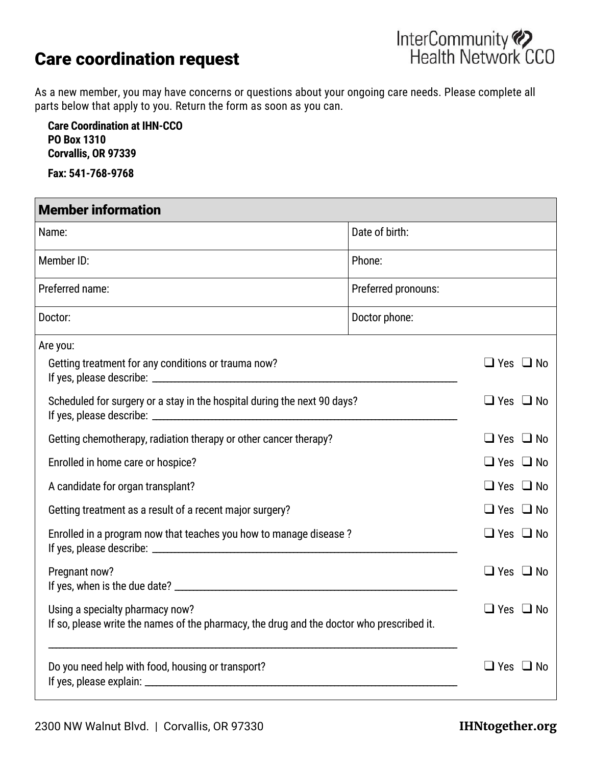## Care coordination request



As a new member, you may have concerns or questions about your ongoing care needs. Please complete all parts below that apply to you. Return the form as soon as you can.

**Care Coordination at IHN-CCO PO Box 1310 Corvallis, OR 97339**

**Fax: 541-768-9768**

| <b>Member information</b>                                                                                                    |                     |                      |
|------------------------------------------------------------------------------------------------------------------------------|---------------------|----------------------|
| Name:                                                                                                                        | Date of birth:      |                      |
| Member ID:                                                                                                                   | Phone:              |                      |
| Preferred name:                                                                                                              | Preferred pronouns: |                      |
| Doctor:                                                                                                                      | Doctor phone:       |                      |
| Are you:<br>Getting treatment for any conditions or trauma now?                                                              |                     | $\Box$ Yes $\Box$ No |
| Scheduled for surgery or a stay in the hospital during the next 90 days?                                                     |                     | $\Box$ Yes $\Box$ No |
| Getting chemotherapy, radiation therapy or other cancer therapy?                                                             |                     | $\Box$ Yes $\Box$ No |
| Enrolled in home care or hospice?                                                                                            |                     | $\Box$ Yes $\Box$ No |
| A candidate for organ transplant?                                                                                            |                     | $\Box$ Yes $\Box$ No |
| Getting treatment as a result of a recent major surgery?                                                                     |                     | $\Box$ Yes $\Box$ No |
| Enrolled in a program now that teaches you how to manage disease?                                                            |                     | $\Box$ Yes $\Box$ No |
| Pregnant now?                                                                                                                |                     | $\Box$ Yes $\Box$ No |
| Using a specialty pharmacy now?<br>If so, please write the names of the pharmacy, the drug and the doctor who prescribed it. |                     | $\Box$ Yes $\Box$ No |
| Do you need help with food, housing or transport?                                                                            |                     | $\Box$ Yes $\Box$ No |